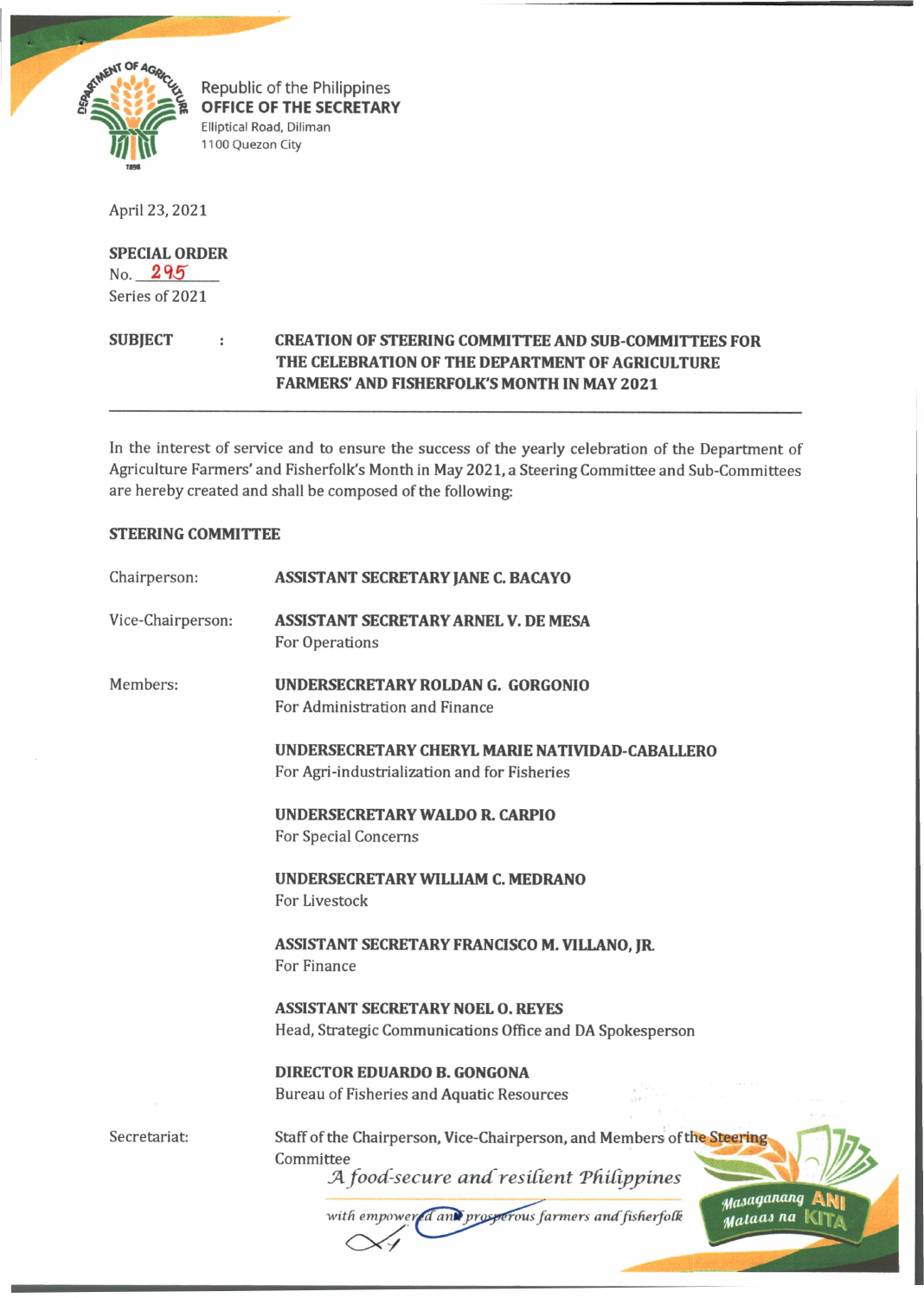

Republic of the Philippines **OFFICE OF THE SECRETARY** Elliptical Road, Diliman 1100 Quezon City

April 23,2021

## **SPECIAL ORDER**

 $No. 295$ Series of 2021

## **SUBJECT CREATION OF STEERING COMMITTEE AND SUB COMMITTEES FOR THE CELEBRATION OF THE DEPARTMENT OF AGRICULTURE FARMERS' AND FISHERFOLK'S MONTH IN MAY 2021**

In the interest of service and to ensure the success of the yearly celebration of the Department of Agriculture Farmers' and Fisherfolk's Month in May 2021, a Steering Committee and Sub-Committees are hereby created and shall be composed of the following:

## **STEERING COMMITTEE**

| Chairperson:      | <b>ASSISTANT SECRETARY JANE C. BACAYO</b>                                                                                                                                                                          |  |  |
|-------------------|--------------------------------------------------------------------------------------------------------------------------------------------------------------------------------------------------------------------|--|--|
| Vice-Chairperson: | <b>ASSISTANT SECRETARY ARNEL V. DE MESA</b><br>For Operations                                                                                                                                                      |  |  |
| Members:          | UNDERSECRETARY ROLDAN G. GORGONIO<br>For Administration and Finance                                                                                                                                                |  |  |
|                   | UNDERSECRETARY CHERYL MARIE NATIVIDAD-CABALLERO<br>For Agri-industrialization and for Fisheries                                                                                                                    |  |  |
|                   | UNDERSECRETARY WALDO R. CARPIO<br>For Special Concerns                                                                                                                                                             |  |  |
|                   | UNDERSECRETARY WILLIAM C. MEDRANO<br>For Livestock                                                                                                                                                                 |  |  |
|                   | ASSISTANT SECRETARY FRANCISCO M. VILLANO, JR.<br>For Finance                                                                                                                                                       |  |  |
|                   | <b>ASSISTANT SECRETARY NOEL O. REYES</b><br>Head, Strategic Communications Office and DA Spokesperson                                                                                                              |  |  |
|                   | <b>DIRECTOR EDUARDO B. GONGONA</b><br>Bureau of Fisheries and Aquatic Resources                                                                                                                                    |  |  |
| Secretariat:      | Staff of the Chairperson, Vice-Chairperson, and Members of the Steering<br>Committee<br>A food-secure and resilient Philippines<br>Masaganang<br>with empowered and prosperous farmers and fisherfolk<br>Mataas na |  |  |